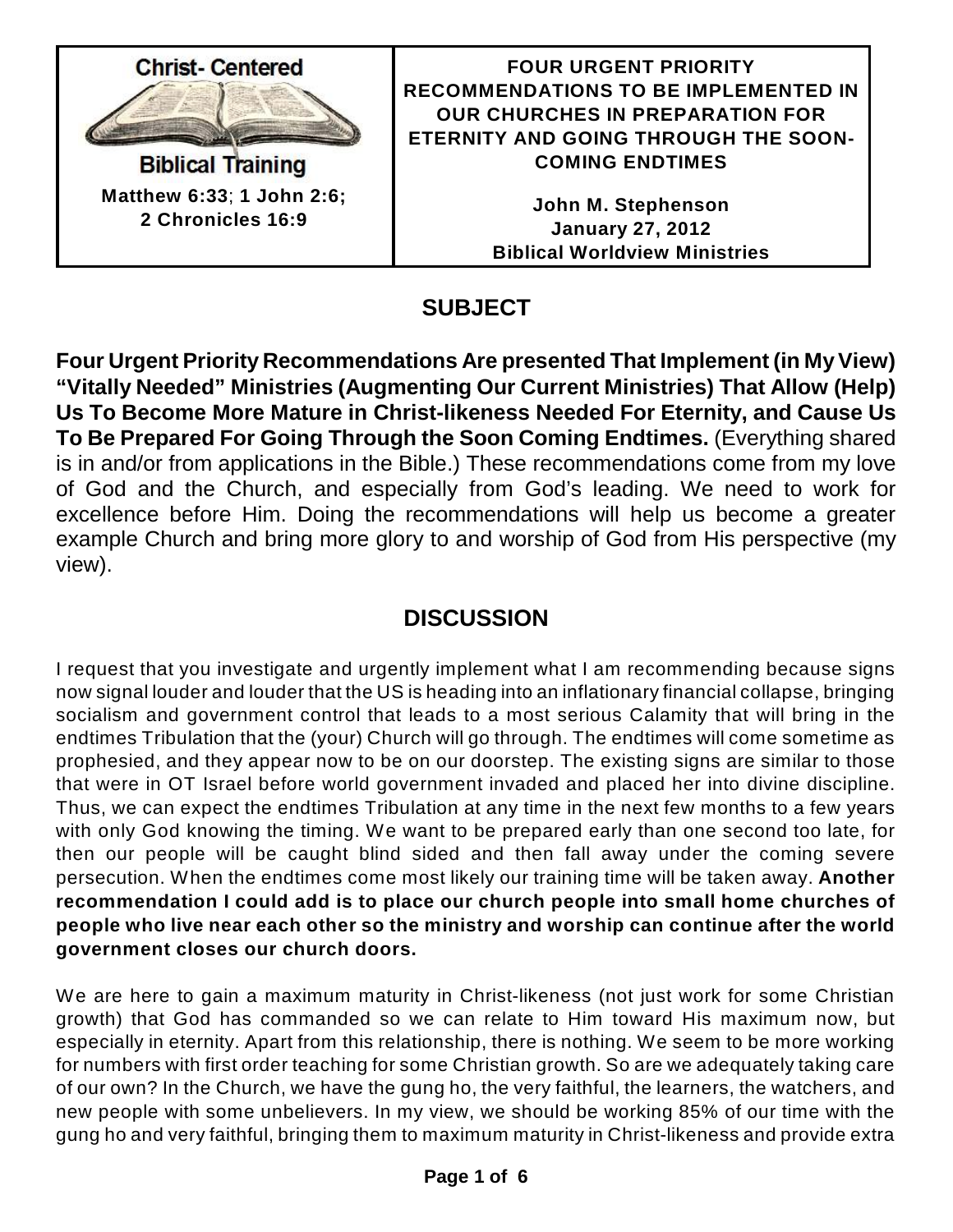

**Biblical Training Matthew 6:33**; **1 John 2:6; 2 Chronicles 16:9**

### **FOUR URGENT PRIORITY RECOMMENDATIONS TO BE IMPLEMENTED IN OUR CHURCHES IN PREPARATION FOR ETERNITY AND GOING THROUGH THE SOON-COMING ENDTIMES**

**John M. Stephenson January 27, 2012 Biblical Worldview Ministries**

# **SUBJECT**

**Four Urgent Priority Recommendations Are presented That Implement (in MyView) "Vitally Needed" Ministries (Augmenting Our Current Ministries) That Allow (Help) Us To Become More Mature in Christ-likeness Needed For Eternity, and Cause Us To Be Prepared For Going Through the Soon Coming Endtimes.** (Everything shared is in and/or from applications in the Bible.) These recommendations come from my love of God and the Church, and especially from God's leading. We need to work for excellence before Him. Doing the recommendations will help us become a greater example Church and bring more glory to and worship of God from His perspective (my view).

# **DISCUSSION**

I request that you investigate and urgently implement what I am recommending because signs now signal louder and louder that the US is heading into an inflationary financial collapse, bringing socialism and government control that leads to a most serious Calamity that will bring in the endtimes Tribulation that the (your) Church will go through. The endtimes will come sometime as prophesied, and they appear now to be on our doorstep. The existing signs are similar to those that were in OT Israel before world government invaded and placed her into divine discipline. Thus, we can expect the endtimes Tribulation at any time in the next few months to a few years with only God knowing the timing. We want to be prepared early than one second too late, for then our people will be caught blind sided and then fall away under the coming severe persecution. When the endtimes come most likely our training time will be taken away. **Another recommendation I could add is to place our church people into small home churches of people who live near each other so the ministry and worship can continue after the world government closes our church doors.**

We are here to gain a maximum maturity in Christ-likeness (not just work for some Christian growth) that God has commanded so we can relate to Him toward His maximum now, but especially in eternity. Apart from this relationship, there is nothing. We seem to be more working for numbers with first order teaching for some Christian growth. So are we adequately taking care of our own? In the Church, we have the gung ho, the very faithful, the learners, the watchers, and new people with some unbelievers. In my view, we should be working 85% of our time with the gung ho and very faithful, bringing them to maximum maturity in Christ-likeness and provide extra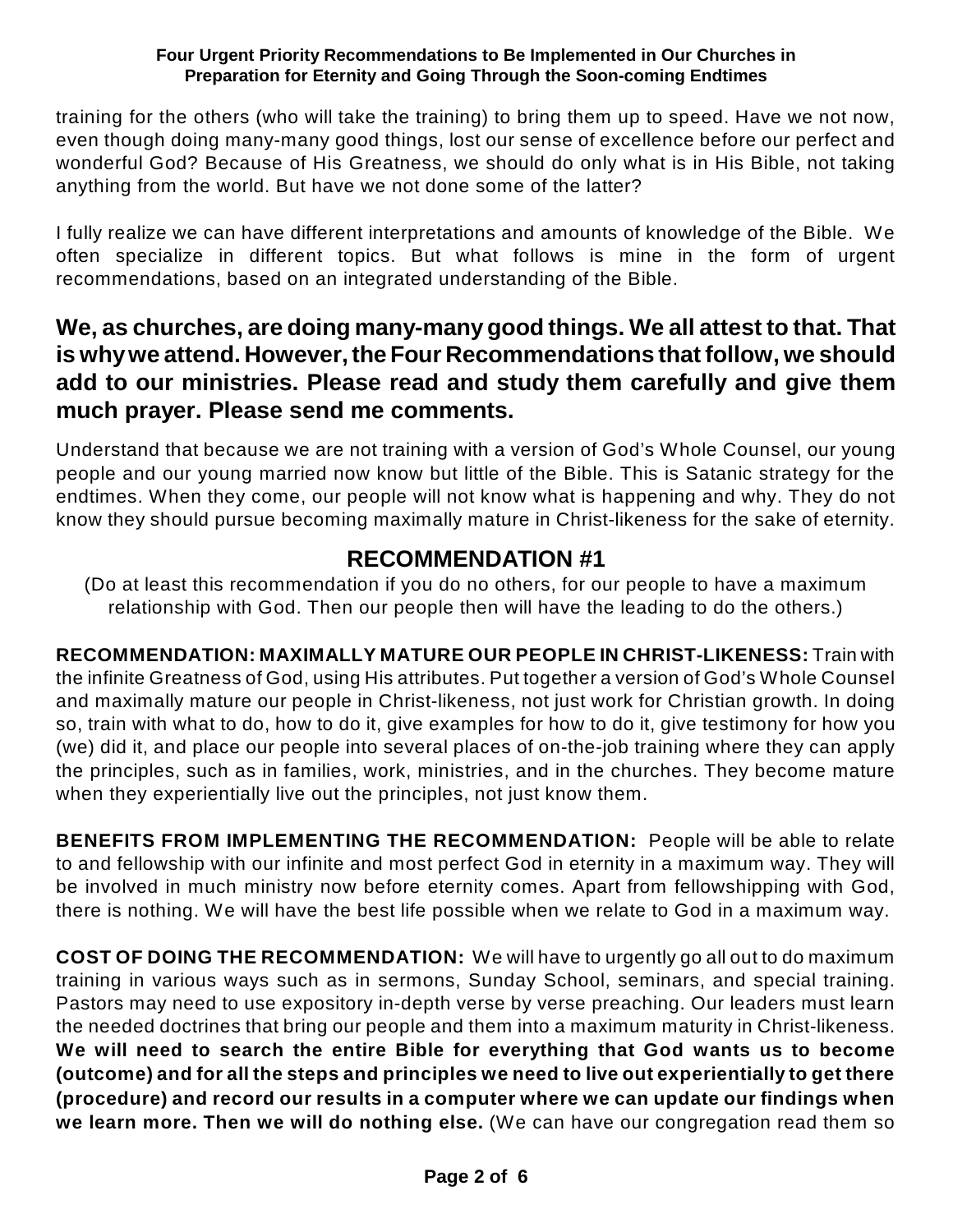training for the others (who will take the training) to bring them up to speed. Have we not now, even though doing many-many good things, lost our sense of excellence before our perfect and wonderful God? Because of His Greatness, we should do only what is in His Bible, not taking anything from the world. But have we not done some of the latter?

I fully realize we can have different interpretations and amounts of knowledge of the Bible. We often specialize in different topics. But what follows is mine in the form of urgent recommendations, based on an integrated understanding of the Bible.

### **We, as churches, are doing many-manygood things. We all attest to that. That is whywe attend. However,the Four Recommendations that follow, we should add to our ministries. Please read and study them carefully and give them much prayer. Please send me comments.**

Understand that because we are not training with a version of God's Whole Counsel, our young people and our young married now know but little of the Bible. This is Satanic strategy for the endtimes. When they come, our people will not know what is happening and why. They do not know they should pursue becoming maximally mature in Christ-likeness for the sake of eternity.

## **RECOMMENDATION #1**

(Do at least this recommendation if you do no others, for our people to have a maximum relationship with God. Then our people then will have the leading to do the others.)

**RECOMMENDATION: MAXIMALLY MATURE OUR PEOPLE IN CHRIST-LIKENESS:** Train with the infinite Greatness of God, using His attributes. Put together a version of God's Whole Counsel and maximally mature our people in Christ-likeness, not just work for Christian growth. In doing so, train with what to do, how to do it, give examples for how to do it, give testimony for how you (we) did it, and place our people into several places of on-the-job training where they can apply the principles, such as in families, work, ministries, and in the churches. They become mature when they experientially live out the principles, not just know them.

**BENEFITS FROM IMPLEMENTING THE RECOMMENDATION:** People will be able to relate to and fellowship with our infinite and most perfect God in eternity in a maximum way. They will be involved in much ministry now before eternity comes. Apart from fellowshipping with God, there is nothing. We will have the best life possible when we relate to God in a maximum way.

**COST OF DOING THE RECOMMENDATION:** We will have to urgently go all out to do maximum training in various ways such as in sermons, Sunday School, seminars, and special training. Pastors may need to use expository in-depth verse by verse preaching. Our leaders must learn the needed doctrines that bring our people and them into a maximum maturity in Christ-likeness. **We will need to search the entire Bible for everything that God wants us to become (outcome) and for all the steps and principles we need to live out experientially to get there (procedure) and record our results in a computer where we can update our findings when we learn more. Then we will do nothing else.** (We can have our congregation read them so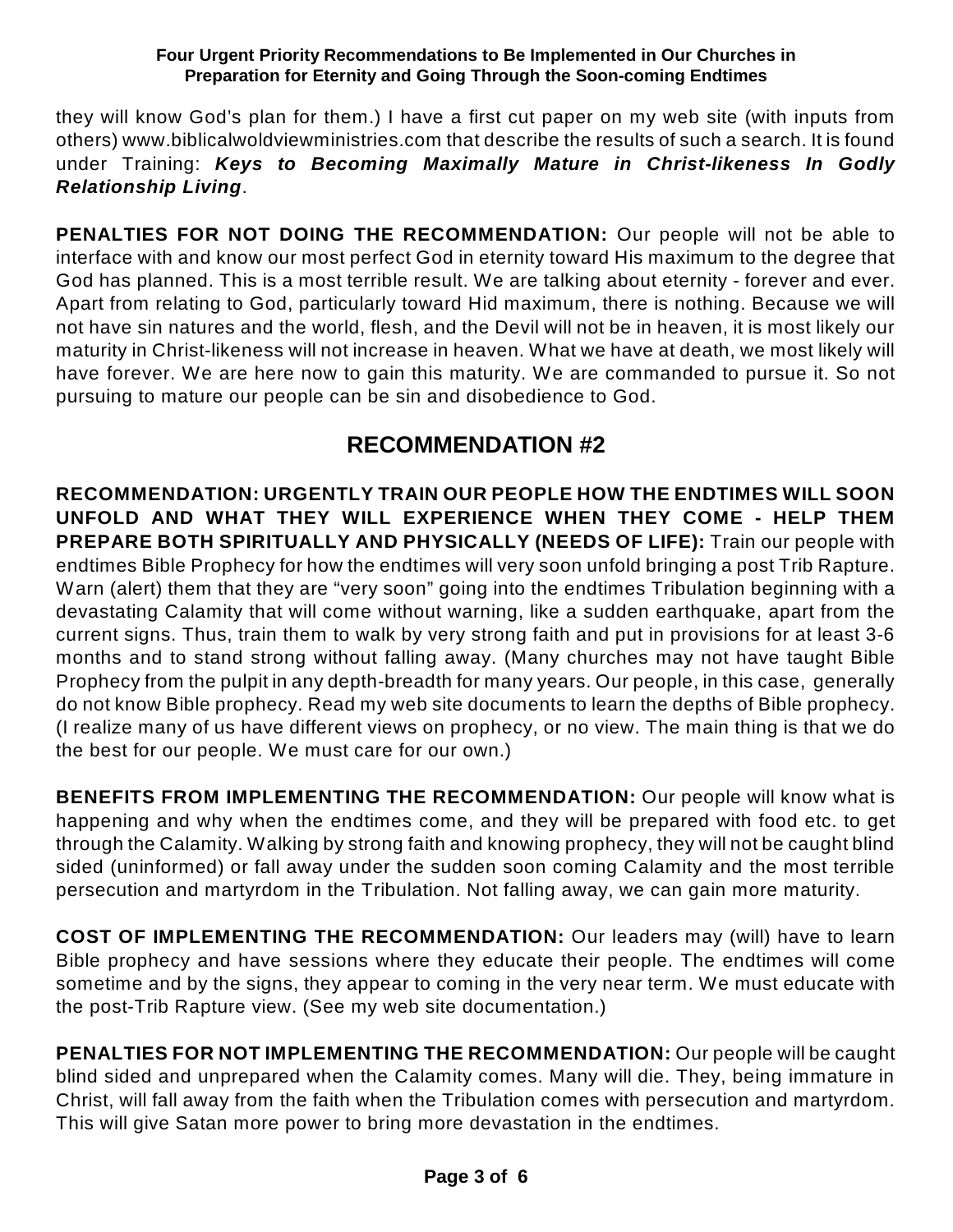they will know God's plan for them.) I have a first cut paper on my web site (with inputs from others) www.biblicalwoldviewministries.com that describe the results of such a search. It is found under Training: *Keys to Becoming Maximally Mature in Christ-likeness In Godly Relationship Living*.

**PENALTIES FOR NOT DOING THE RECOMMENDATION:** Our people will not be able to interface with and know our most perfect God in eternity toward His maximum to the degree that God has planned. This is a most terrible result. We are talking about eternity - forever and ever. Apart from relating to God, particularly toward Hid maximum, there is nothing. Because we will not have sin natures and the world, flesh, and the Devil will not be in heaven, it is most likely our maturity in Christ-likeness will not increase in heaven. What we have at death, we most likely will have forever. We are here now to gain this maturity. We are commanded to pursue it. So not pursuing to mature our people can be sin and disobedience to God.

## **RECOMMENDATION #2**

**RECOMMENDATION: URGENTLY TRAIN OUR PEOPLE HOW THE ENDTIMES WILL SOON UNFOLD AND WHAT THEY WILL EXPERIENCE WHEN THEY COME - HELP THEM PREPARE BOTH SPIRITUALLY AND PHYSICALLY (NEEDS OF LIFE):** Train our people with endtimes Bible Prophecy for how the endtimes will very soon unfold bringing a post Trib Rapture. Warn (alert) them that they are "very soon" going into the endtimes Tribulation beginning with a devastating Calamity that will come without warning, like a sudden earthquake, apart from the current signs. Thus, train them to walk by very strong faith and put in provisions for at least 3-6 months and to stand strong without falling away. (Many churches may not have taught Bible Prophecy from the pulpit in any depth-breadth for many years. Our people, in this case, generally do not know Bible prophecy. Read my web site documents to learn the depths of Bible prophecy. (I realize many of us have different views on prophecy, or no view. The main thing is that we do the best for our people. We must care for our own.)

**BENEFITS FROM IMPLEMENTING THE RECOMMENDATION:** Our people will know what is happening and why when the endtimes come, and they will be prepared with food etc. to get through the Calamity. Walking by strong faith and knowing prophecy, they will not be caught blind sided (uninformed) or fall away under the sudden soon coming Calamity and the most terrible persecution and martyrdom in the Tribulation. Not falling away, we can gain more maturity.

**COST OF IMPLEMENTING THE RECOMMENDATION:** Our leaders may (will) have to learn Bible prophecy and have sessions where they educate their people. The endtimes will come sometime and by the signs, they appear to coming in the very near term. We must educate with the post-Trib Rapture view. (See my web site documentation.)

**PENALTIES FOR NOT IMPLEMENTING THE RECOMMENDATION:** Our people will be caught blind sided and unprepared when the Calamity comes. Many will die. They, being immature in Christ, will fall away from the faith when the Tribulation comes with persecution and martyrdom. This will give Satan more power to bring more devastation in the endtimes.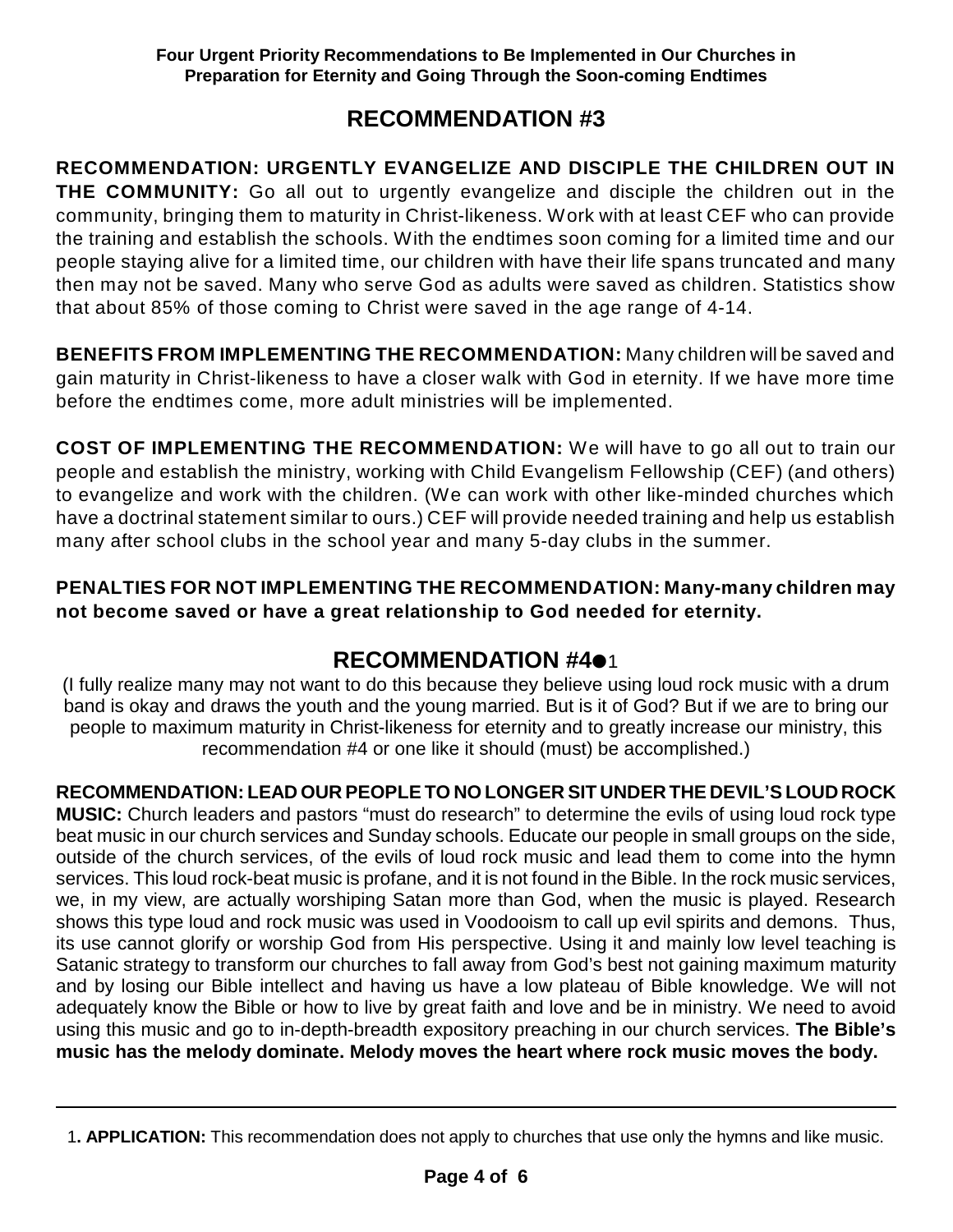### **RECOMMENDATION #3**

**RECOMMENDATION: URGENTLY EVANGELIZE AND DISCIPLE THE CHILDREN OUT IN THE COMMUNITY:** Go all out to urgently evangelize and disciple the children out in the community, bringing them to maturity in Christ-likeness. Work with at least CEF who can provide the training and establish the schools. With the endtimes soon coming for a limited time and our people staying alive for a limited time, our children with have their life spans truncated and many then may not be saved. Many who serve God as adults were saved as children. Statistics show that about 85% of those coming to Christ were saved in the age range of 4-14.

**BENEFITS FROM IMPLEMENTING THE RECOMMENDATION:** Many children will be saved and gain maturity in Christ-likeness to have a closer walk with God in eternity. If we have more time before the endtimes come, more adult ministries will be implemented.

**COST OF IMPLEMENTING THE RECOMMENDATION:** We will have to go all out to train our people and establish the ministry, working with Child Evangelism Fellowship (CEF) (and others) to evangelize and work with the children. (We can work with other like-minded churches which have a doctrinal statement similar to ours.) CEF will provide needed training and help us establish many after school clubs in the school year and many 5-day clubs in the summer.

### **PENALTIES FOR NOT IMPLEMENTING THE RECOMMENDATION: Many-many children may not become saved or have a great relationship to God needed for eternity.**

## **RECOMMENDATION #401**

(I fully realize many may not want to do this because they believe using loud rock music with a drum band is okay and draws the youth and the young married. But is it of God? But if we are to bring our people to maximum maturity in Christ-likeness for eternity and to greatly increase our ministry, this recommendation #4 or one like it should (must) be accomplished.)

### **RECOMMENDATION: LEAD OUR PEOPLE TO NO LONGER SIT UNDER THE DEVIL'S LOUD ROCK**

**MUSIC:** Church leaders and pastors "must do research" to determine the evils of using loud rock type beat music in our church services and Sunday schools. Educate our people in small groups on the side, outside of the church services, of the evils of loud rock music and lead them to come into the hymn services. This loud rock-beat music is profane, and it is not found in the Bible. In the rock music services, we, in my view, are actually worshiping Satan more than God, when the music is played. Research shows this type loud and rock music was used in Voodooism to call up evil spirits and demons. Thus, its use cannot glorify or worship God from His perspective. Using it and mainly low level teaching is Satanic strategy to transform our churches to fall away from God's best not gaining maximum maturity and by losing our Bible intellect and having us have a low plateau of Bible knowledge. We will not adequately know the Bible or how to live by great faith and love and be in ministry. We need to avoid using this music and go to in-depth-breadth expository preaching in our church services. **The Bible's music has the melody dominate. Melody moves the heart where rock music moves the body.**

<sup>1</sup>**. APPLICATION:** This recommendation does not apply to churches that use only the hymns and like music.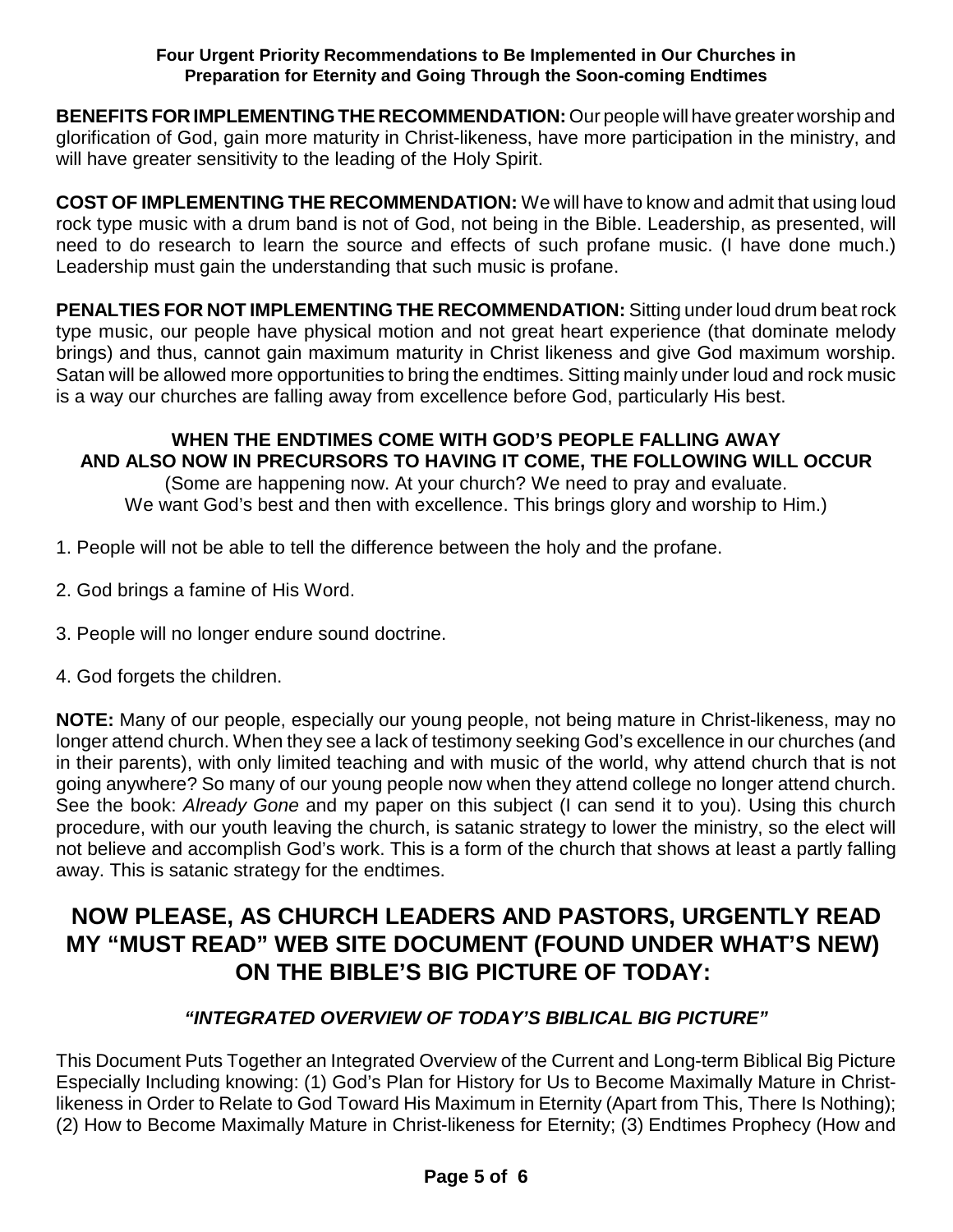**BENEFITS FORIMPLEMENTING THE RECOMMENDATION:** Our people will have greater worship and glorification of God, gain more maturity in Christ-likeness, have more participation in the ministry, and will have greater sensitivity to the leading of the Holy Spirit.

**COST OF IMPLEMENTING THE RECOMMENDATION:** We will have to know and admit that using loud rock type music with a drum band is not of God, not being in the Bible. Leadership, as presented, will need to do research to learn the source and effects of such profane music. (I have done much.) Leadership must gain the understanding that such music is profane.

**PENALTIES FOR NOT IMPLEMENTING THE RECOMMENDATION:** Sitting under loud drum beat rock type music, our people have physical motion and not great heart experience (that dominate melody brings) and thus, cannot gain maximum maturity in Christ likeness and give God maximum worship. Satan will be allowed more opportunities to bring the endtimes. Sitting mainly under loud and rock music is a way our churches are falling away from excellence before God, particularly His best.

### **WHEN THE ENDTIMES COME WITH GOD'S PEOPLE FALLING AWAY AND ALSO NOW IN PRECURSORS TO HAVING IT COME, THE FOLLOWING WILL OCCUR**

(Some are happening now. At your church? We need to pray and evaluate. We want God's best and then with excellence. This brings glory and worship to Him.)

- 1. People will not be able to tell the difference between the holy and the profane.
- 2. God brings a famine of His Word.
- 3. People will no longer endure sound doctrine.
- 4. God forgets the children.

**NOTE:** Many of our people, especially our young people, not being mature in Christ-likeness, may no longer attend church. When they see a lack of testimony seeking God's excellence in our churches (and in their parents), with only limited teaching and with music of the world, why attend church that is not going anywhere? So many of our young people now when they attend college no longer attend church. See the book: *Already Gone* and my paper on this subject (I can send it to you). Using this church procedure, with our youth leaving the church, is satanic strategy to lower the ministry, so the elect will not believe and accomplish God's work. This is a form of the church that shows at least a partly falling away. This is satanic strategy for the endtimes.

## **NOW PLEASE, AS CHURCH LEADERS AND PASTORS, URGENTLY READ MY "MUST READ" WEB SITE DOCUMENT (FOUND UNDER WHAT'S NEW) ON THE BIBLE'S BIG PICTURE OF TODAY:**

#### *"INTEGRATED OVERVIEW OF TODAY'S BIBLICAL BIG PICTURE"*

This Document Puts Together an Integrated Overview of the Current and Long-term Biblical Big Picture Especially Including knowing: (1) God's Plan for History for Us to Become Maximally Mature in Christlikeness in Order to Relate to God Toward His Maximum in Eternity (Apart from This, There Is Nothing); (2) How to Become Maximally Mature in Christ-likeness for Eternity; (3) Endtimes Prophecy (How and